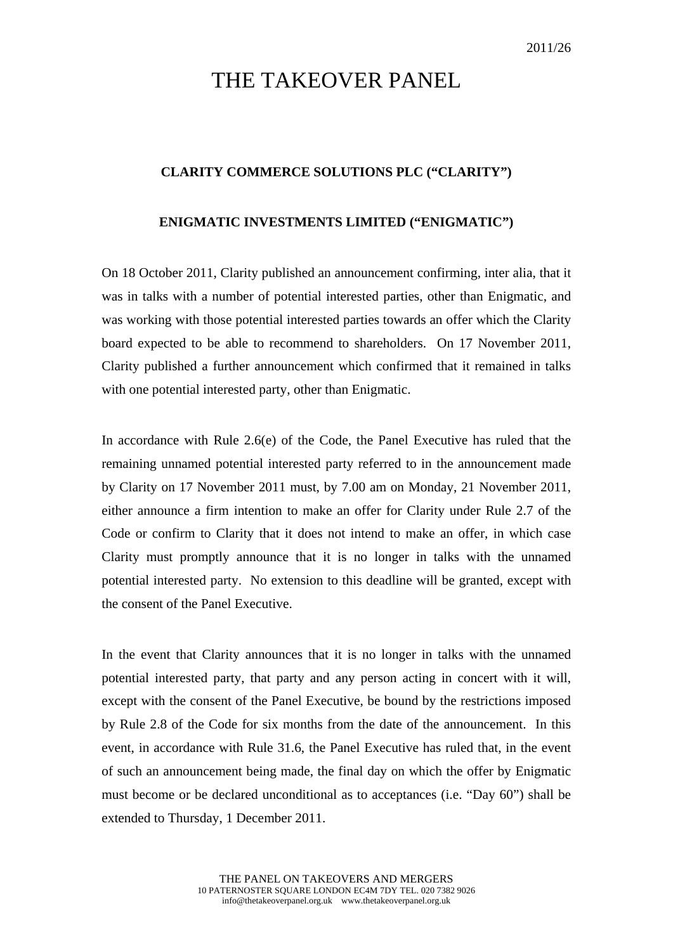## THE TAKEOVER PANEL

## **CLARITY COMMERCE SOLUTIONS PLC ("CLARITY")**

## **ENIGMATIC INVESTMENTS LIMITED ("ENIGMATIC")**

On 18 October 2011, Clarity published an announcement confirming, inter alia, that it was in talks with a number of potential interested parties, other than Enigmatic, and was working with those potential interested parties towards an offer which the Clarity board expected to be able to recommend to shareholders. On 17 November 2011, Clarity published a further announcement which confirmed that it remained in talks with one potential interested party, other than Enigmatic.

In accordance with Rule 2.6(e) of the Code, the Panel Executive has ruled that the remaining unnamed potential interested party referred to in the announcement made by Clarity on 17 November 2011 must, by 7.00 am on Monday, 21 November 2011, either announce a firm intention to make an offer for Clarity under Rule 2.7 of the Code or confirm to Clarity that it does not intend to make an offer, in which case Clarity must promptly announce that it is no longer in talks with the unnamed potential interested party. No extension to this deadline will be granted, except with the consent of the Panel Executive.

In the event that Clarity announces that it is no longer in talks with the unnamed potential interested party, that party and any person acting in concert with it will, except with the consent of the Panel Executive, be bound by the restrictions imposed by Rule 2.8 of the Code for six months from the date of the announcement. In this event, in accordance with Rule 31.6, the Panel Executive has ruled that, in the event of such an announcement being made, the final day on which the offer by Enigmatic must become or be declared unconditional as to acceptances (i.e. "Day 60") shall be extended to Thursday, 1 December 2011.